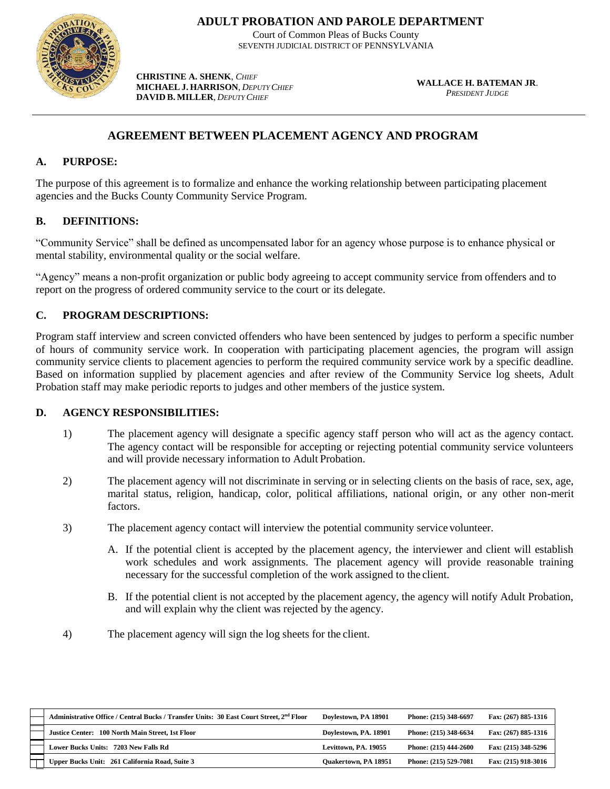

**ADULT PROBATION AND PAROLE DEPARTMENT**

Court of Common Pleas of Bucks County SEVENTH JUDICIAL DISTRICT OF PENNSYLVANIA

**CHRISTINE A. SHENK**, *CHIEF*  **MICHAEL J. HARRISON**, *DEPUTYCHIEF*  **DAVID B. MILLER**, *DEPUTY CHIEF*

**WALLACE H. BATEMAN JR**. *PRESIDENT JUDGE*

# **AGREEMENT BETWEEN PLACEMENT AGENCY AND PROGRAM**

#### **A. PURPOSE:**

The purpose of this agreement is to formalize and enhance the working relationship between participating placement agencies and the Bucks County Community Service Program.

## **B. DEFINITIONS:**

"Community Service" shall be defined as uncompensated labor for an agency whose purpose is to enhance physical or mental stability, environmental quality or the social welfare.

"Agency" means a non-profit organization or public body agreeing to accept community service from offenders and to report on the progress of ordered community service to the court or its delegate.

## **C. PROGRAM DESCRIPTIONS:**

Program staff interview and screen convicted offenders who have been sentenced by judges to perform a specific number of hours of community service work. In cooperation with participating placement agencies, the program will assign community service clients to placement agencies to perform the required community service work by a specific deadline. Based on information supplied by placement agencies and after review of the Community Service log sheets, Adult Probation staff may make periodic reports to judges and other members of the justice system.

#### **D. AGENCY RESPONSIBILITIES:**

- 1) The placement agency will designate a specific agency staff person who will act as the agency contact. The agency contact will be responsible for accepting or rejecting potential community service volunteers and will provide necessary information to Adult Probation.
- 2) The placement agency will not discriminate in serving or in selecting clients on the basis of race, sex, age, marital status, religion, handicap, color, political affiliations, national origin, or any other non-merit factors.
- 3) The placement agency contact will interview the potential community service volunteer.
	- A. If the potential client is accepted by the placement agency, the interviewer and client will establish work schedules and work assignments. The placement agency will provide reasonable training necessary for the successful completion of the work assigned to the client.
	- B. If the potential client is not accepted by the placement agency, the agency will notify Adult Probation, and will explain why the client was rejected by the agency.
- 4) The placement agency will sign the log sheets for the client.

| Administrative Office / Central Bucks / Transfer Units: 30 East Court Street, 2 <sup>nd</sup> Floor | Dovlestown, PA 18901        | Phone: (215) 348-6697   | Fax: (267) 885-1316 |
|-----------------------------------------------------------------------------------------------------|-----------------------------|-------------------------|---------------------|
| Justice Center: 100 North Main Street, 1st Floor                                                    | Dovlestown, PA. 18901       | Phone: (215) 348-6634   | Fax: (267) 885-1316 |
| Lower Bucks Units: 7203 New Falls Rd                                                                | Levittown, PA, 19055        | Phone: $(215)$ 444-2600 | Fax: (215) 348-5296 |
| Upper Bucks Unit: 261 California Road, Suite 3                                                      | <b>Ouakertown, PA 18951</b> | Phone: (215) 529-7081   | Fax: (215) 918-3016 |